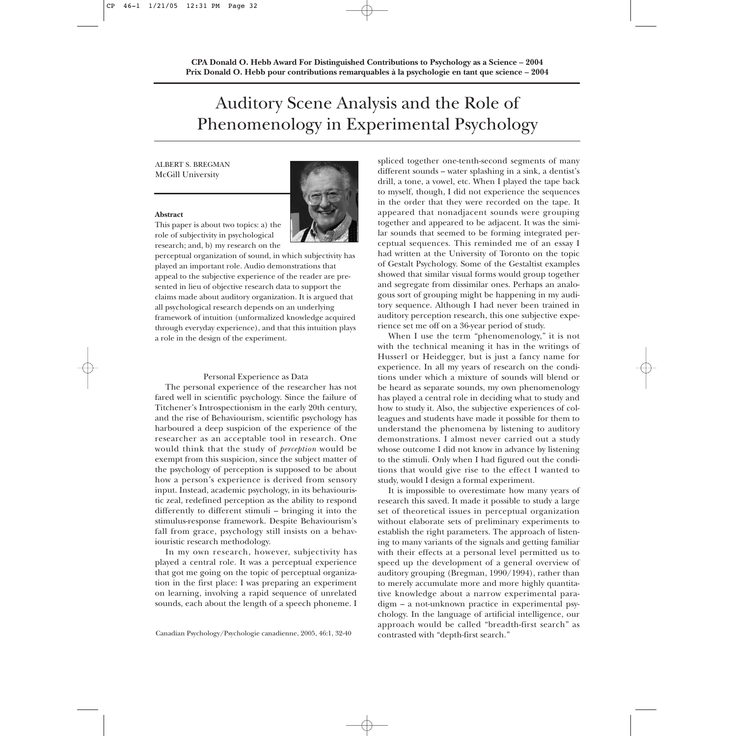# Auditory Scene Analysis and the Role of Phenomenology in Experimental Psychology

# ALBERT S. BREGMAN McGill University

#### **Abstract**

This paper is about two topics: a) the role of subjectivity in psychological research; and, b) my research on the

perceptual organization of sound, in which subjectivity has played an important role. Audio demonstrations that appeal to the subjective experience of the reader are presented in lieu of objective research data to support the claims made about auditory organization. It is argued that all psychological research depends on an underlying framework of intuition (unformalized knowledge acquired through everyday experience), and that this intuition plays a role in the design of the experiment.

#### Personal Experience as Data

The personal experience of the researcher has not fared well in scientific psychology. Since the failure of Titchener's Introspectionism in the early 20th century, and the rise of Behaviourism, scientific psychology has harboured a deep suspicion of the experience of the researcher as an acceptable tool in research. One would think that the study of *perception* would be exempt from this suspicion, since the subject matter of the psychology of perception is supposed to be about how a person's experience is derived from sensory input. Instead, academic psychology, in its behaviouristic zeal, redefined perception as the ability to respond differently to different stimuli – bringing it into the stimulus-response framework. Despite Behaviourism's fall from grace, psychology still insists on a behaviouristic research methodology.

In my own research, however, subjectivity has played a central role. It was a perceptual experience that got me going on the topic of perceptual organization in the first place: I was preparing an experiment on learning, involving a rapid sequence of unrelated sounds, each about the length of a speech phoneme. I

spliced together one-tenth-second segments of many different sounds – water splashing in a sink, a dentist's drill, a tone, a vowel, etc. When I played the tape back to myself, though, I did not experience the sequences in the order that they were recorded on the tape. It appeared that nonadjacent sounds were grouping together and appeared to be adjacent. It was the similar sounds that seemed to be forming integrated perceptual sequences. This reminded me of an essay I had written at the University of Toronto on the topic of Gestalt Psychology. Some of the Gestaltist examples showed that similar visual forms would group together and segregate from dissimilar ones. Perhaps an analogous sort of grouping might be happening in my auditory sequence. Although I had never been trained in auditory perception research, this one subjective experience set me off on a 36-year period of study.

When I use the term "phenomenology," it is not with the technical meaning it has in the writings of Husserl or Heidegger, but is just a fancy name for experience. In all my years of research on the conditions under which a mixture of sounds will blend or be heard as separate sounds, my own phenomenology has played a central role in deciding what to study and how to study it. Also, the subjective experiences of colleagues and students have made it possible for them to understand the phenomena by listening to auditory demonstrations. I almost never carried out a study whose outcome I did not know in advance by listening to the stimuli. Only when I had figured out the conditions that would give rise to the effect I wanted to study, would I design a formal experiment.

It is impossible to overestimate how many years of research this saved. It made it possible to study a large set of theoretical issues in perceptual organization without elaborate sets of preliminary experiments to establish the right parameters. The approach of listening to many variants of the signals and getting familiar with their effects at a personal level permitted us to speed up the development of a general overview of auditory grouping (Bregman, 1990/1994), rather than to merely accumulate more and more highly quantitative knowledge about a narrow experimental paradigm – a not-unknown practice in experimental psychology. In the language of artificial intelligence, our approach would be called "breadth-first search" as

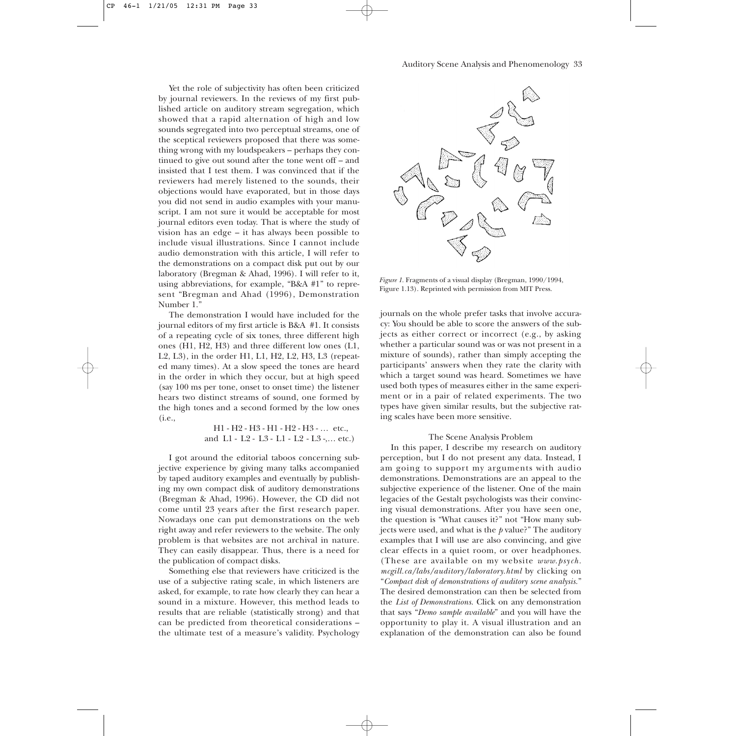Yet the role of subjectivity has often been criticized by journal reviewers. In the reviews of my first published article on auditory stream segregation, which showed that a rapid alternation of high and low sounds segregated into two perceptual streams, one of the sceptical reviewers proposed that there was something wrong with my loudspeakers – perhaps they continued to give out sound after the tone went off – and insisted that I test them. I was convinced that if the reviewers had merely listened to the sounds, their objections would have evaporated, but in those days you did not send in audio examples with your manuscript. I am not sure it would be acceptable for most journal editors even today. That is where the study of vision has an edge – it has always been possible to include visual illustrations. Since I cannot include audio demonstration with this article, I will refer to the demonstrations on a compact disk put out by our laboratory (Bregman & Ahad, 1996). I will refer to it, using abbreviations, for example, "B&A #1" to represent "Bregman and Ahad (1996), Demonstration Number 1."

The demonstration I would have included for the journal editors of my first article is B&A #1. It consists of a repeating cycle of six tones, three different high ones (H1, H2, H3) and three different low ones (L1, L2, L3), in the order H1, L1, H2, L2, H3, L3 (repeated many times). At a slow speed the tones are heard in the order in which they occur, but at high speed (say 100 ms per tone, onset to onset time) the listener hears two distinct streams of sound, one formed by the high tones and a second formed by the low ones (i.e.,

> H1 - H2 - H3 - H1 - H2 - H3 - … etc., and L1 - L2 - L3 - L1 - L2 - L3 -,… etc.)

I got around the editorial taboos concerning subjective experience by giving many talks accompanied by taped auditory examples and eventually by publishing my own compact disk of auditory demonstrations (Bregman & Ahad, 1996). However, the CD did not come until 23 years after the first research paper. Nowadays one can put demonstrations on the web right away and refer reviewers to the website. The only problem is that websites are not archival in nature. They can easily disappear. Thus, there is a need for the publication of compact disks.

Something else that reviewers have criticized is the use of a subjective rating scale, in which listeners are asked, for example, to rate how clearly they can hear a sound in a mixture. However, this method leads to results that are reliable (statistically strong) and that can be predicted from theoretical considerations – the ultimate test of a measure's validity. Psychology



*Figure 1.* Fragments of a visual display (Bregman, 1990/1994, Figure 1.13). Reprinted with permission from MIT Press.

journals on the whole prefer tasks that involve accuracy: You should be able to score the answers of the subjects as either correct or incorrect (e.g., by asking whether a particular sound was or was not present in a mixture of sounds), rather than simply accepting the participants' answers when they rate the clarity with which a target sound was heard. Sometimes we have used both types of measures either in the same experiment or in a pair of related experiments. The two types have given similar results, but the subjective rating scales have been more sensitive.

# The Scene Analysis Problem

In this paper, I describe my research on auditory perception, but I do not present any data. Instead, I am going to support my arguments with audio demonstrations. Demonstrations are an appeal to the subjective experience of the listener. One of the main legacies of the Gestalt psychologists was their convincing visual demonstrations. After you have seen one, the question is "What causes it?" not "How many subjects were used, and what is the *p* value?" The auditory examples that I will use are also convincing, and give clear effects in a quiet room, or over headphones. (These are available on my website *www.psych. mcgill.ca/labs/auditory/laboratory.html* by clicking on "*Compact disk of demonstrations of auditory scene analysis.*" The desired demonstration can then be selected from the *List of Demonstrations.* Click on any demonstration that says "*Demo sample available*" and you will have the opportunity to play it. A visual illustration and an explanation of the demonstration can also be found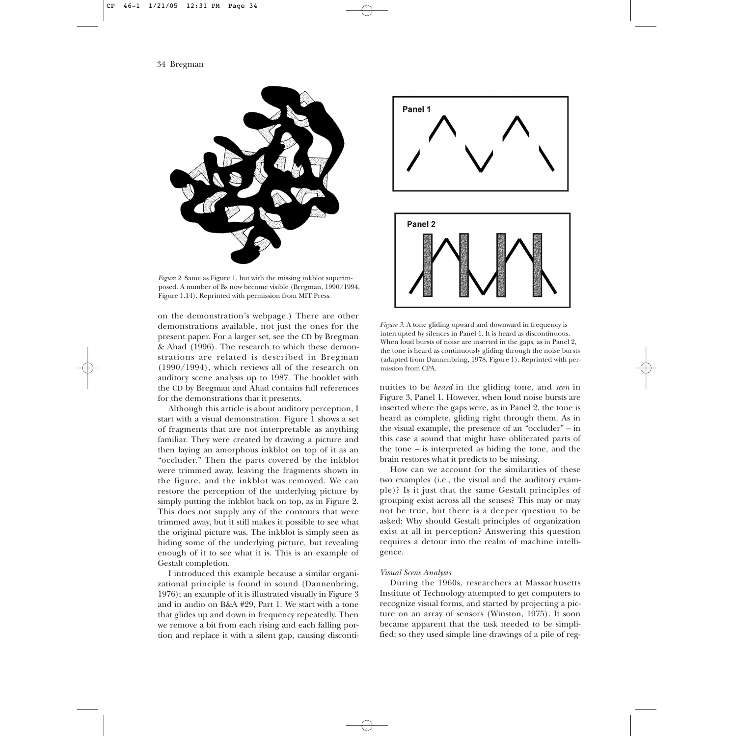

*Figure 2.* Same as Figure 1, but with the missing inkblot superimposed. A number of Bs now become visible (Bregman, 1990/1994, Figure 1.14). Reprinted with permission from MIT Press.

on the demonstration's webpage.) There are other demonstrations available, not just the ones for the present paper. For a larger set, see the CD by Bregman & Ahad (1996). The research to which these demonstrations are related is described in Bregman (1990/1994), which reviews all of the research on auditory scene analysis up to 1987. The booklet with the CD by Bregman and Ahad contains full references for the demonstrations that it presents.

Although this article is about auditory perception, I start with a visual demonstration. Figure 1 shows a set of fragments that are not interpretable as anything familiar. They were created by drawing a picture and then laying an amorphous inkblot on top of it as an "occluder." Then the parts covered by the inkblot were trimmed away, leaving the fragments shown in the figure, and the inkblot was removed. We can restore the perception of the underlying picture by simply putting the inkblot back on top, as in Figure 2. This does not supply any of the contours that were trimmed away, but it still makes it possible to see what the original picture was. The inkblot is simply seen as hiding some of the underlying picture, but revealing enough of it to see what it is. This is an example of Gestalt completion.

I introduced this example because a similar organizational principle is found in sound (Dannenbring, 1976); an example of it is illustrated visually in Figure 3 and in audio on B&A #29, Part 1. We start with a tone that glides up and down in frequency repeatedly. Then we remove a bit from each rising and each falling portion and replace it with a silent gap, causing disconti-



*Figure 3.* A tone gliding upward and downward in frequency is interrupted by silences in Panel 1. It is heard as discontinuous. When loud bursts of noise are inserted in the gaps, as in Panel 2, the tone is heard as continuously gliding through the noise bursts (adapted from Dannenbring, 1978, Figure 1). Reprinted with permission from CPA.

nuities to be *heard* in the gliding tone, and *seen* in Figure 3, Panel 1. However, when loud noise bursts are inserted where the gaps were, as in Panel 2, the tone is heard as complete, gliding right through them. As in the visual example, the presence of an "occluder" – in this case a sound that might have obliterated parts of the tone – is interpreted as hiding the tone, and the brain restores what it predicts to be missing.

How can we account for the similarities of these two examples (i.e., the visual and the auditory example)? Is it just that the same Gestalt principles of grouping exist across all the senses? This may or may not be true, but there is a deeper question to be asked: Why should Gestalt principles of organization exist at all in perception? Answering this question requires a detour into the realm of machine intelligence.

## *Visual Scene Analysis*

During the 1960s, researchers at Massachusetts Institute of Technology attempted to get computers to recognize visual forms, and started by projecting a picture on an array of sensors (Winston, 1975). It soon became apparent that the task needed to be simplified; so they used simple line drawings of a pile of reg-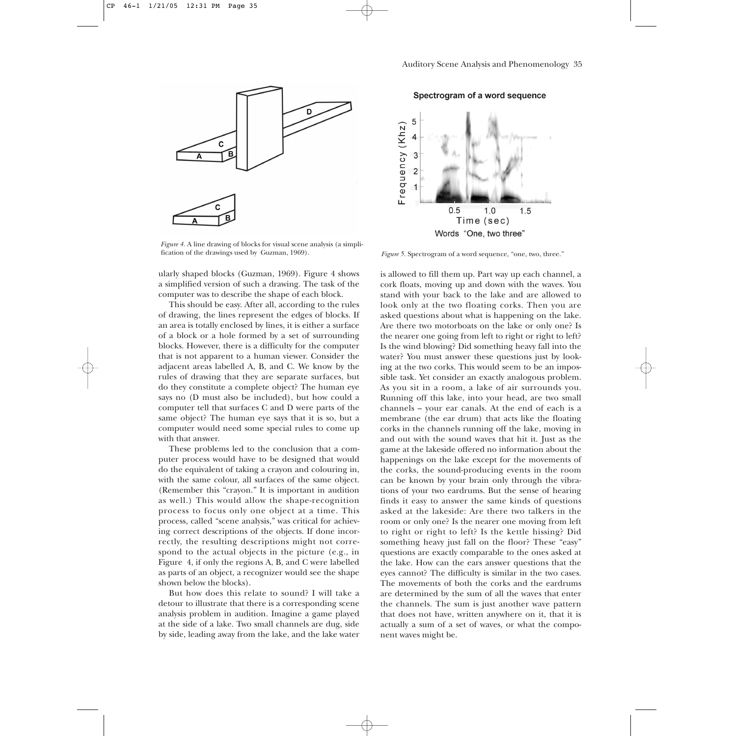

*Figure 4.* A line drawing of blocks for visual scene analysis (a simplification of the drawings used by Guzman, 1969).

ularly shaped blocks (Guzman, 1969). Figure 4 shows a simplified version of such a drawing. The task of the computer was to describe the shape of each block.

This should be easy. After all, according to the rules of drawing, the lines represent the edges of blocks. If an area is totally enclosed by lines, it is either a surface of a block or a hole formed by a set of surrounding blocks. However, there is a difficulty for the computer that is not apparent to a human viewer. Consider the adjacent areas labelled A, B, and C. We know by the rules of drawing that they are separate surfaces, but do they constitute a complete object? The human eye says no (D must also be included), but how could a computer tell that surfaces C and D were parts of the same object? The human eye says that it is so, but a computer would need some special rules to come up with that answer.

These problems led to the conclusion that a computer process would have to be designed that would do the equivalent of taking a crayon and colouring in, with the same colour, all surfaces of the same object. (Remember this "crayon." It is important in audition as well.) This would allow the shape-recognition process to focus only one object at a time. This process, called "scene analysis," was critical for achieving correct descriptions of the objects. If done incorrectly, the resulting descriptions might not correspond to the actual objects in the picture (e.g., in Figure 4, if only the regions A, B, and C were labelled as parts of an object, a recognizer would see the shape shown below the blocks).

But how does this relate to sound? I will take a detour to illustrate that there is a corresponding scene analysis problem in audition. Imagine a game played at the side of a lake. Two small channels are dug, side by side, leading away from the lake, and the lake water

Spectrogram of a word sequence



Figure 5. Spectrogram of a word sequence, "one, two, three."

is allowed to fill them up. Part way up each channel, a cork floats, moving up and down with the waves. You stand with your back to the lake and are allowed to look only at the two floating corks. Then you are asked questions about what is happening on the lake. Are there two motorboats on the lake or only one? Is the nearer one going from left to right or right to left? Is the wind blowing? Did something heavy fall into the water? You must answer these questions just by looking at the two corks. This would seem to be an impossible task. Yet consider an exactly analogous problem. As you sit in a room, a lake of air surrounds you. Running off this lake, into your head, are two small channels – your ear canals. At the end of each is a membrane (the ear drum) that acts like the floating corks in the channels running off the lake, moving in and out with the sound waves that hit it. Just as the game at the lakeside offered no information about the happenings on the lake except for the movements of the corks, the sound-producing events in the room can be known by your brain only through the vibrations of your two eardrums. But the sense of hearing finds it easy to answer the same kinds of questions asked at the lakeside: Are there two talkers in the room or only one? Is the nearer one moving from left to right or right to left? Is the kettle hissing? Did something heavy just fall on the floor? These "easy" questions are exactly comparable to the ones asked at the lake. How can the ears answer questions that the eyes cannot? The difficulty is similar in the two cases. The movements of both the corks and the eardrums are determined by the sum of all the waves that enter the channels. The sum is just another wave pattern that does not have, written anywhere on it, that it is actually a sum of a set of waves, or what the component waves might be.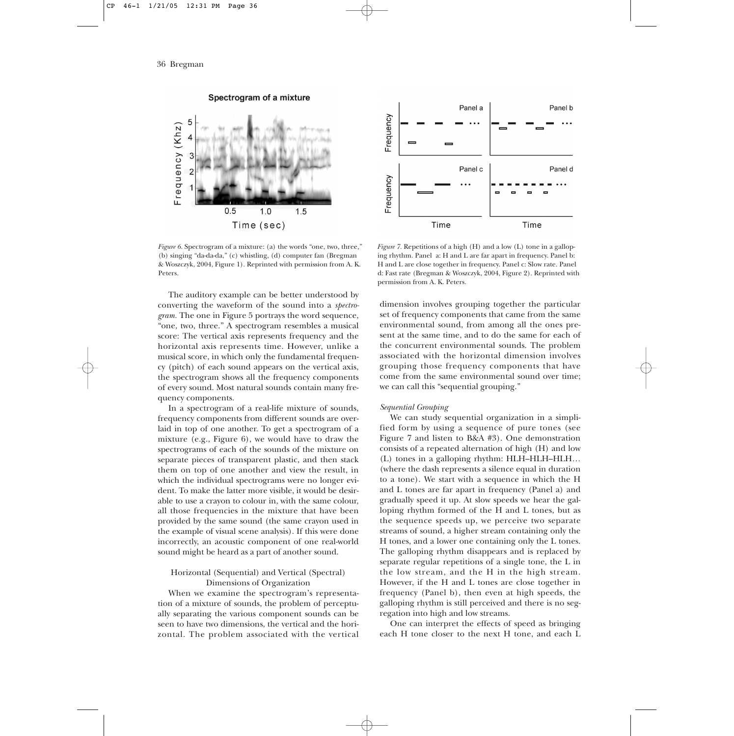

Spectrogram of a mixture

*Figure 6.* Spectrogram of a mixture: (a) the words "one, two, three," (b) singing "da-da-da," (c) whistling, (d) computer fan (Bregman & Woszczyk, 2004, Figure 1). Reprinted with permission from A. K. Peters.

The auditory example can be better understood by converting the waveform of the sound into a *spectrogram.* The one in Figure 5 portrays the word sequence, "one, two, three." A spectrogram resembles a musical score: The vertical axis represents frequency and the horizontal axis represents time. However, unlike a musical score, in which only the fundamental frequency (pitch) of each sound appears on the vertical axis, the spectrogram shows all the frequency components of every sound. Most natural sounds contain many frequency components.

In a spectrogram of a real-life mixture of sounds, frequency components from different sounds are overlaid in top of one another. To get a spectrogram of a mixture (e.g., Figure 6), we would have to draw the spectrograms of each of the sounds of the mixture on separate pieces of transparent plastic, and then stack them on top of one another and view the result, in which the individual spectrograms were no longer evident. To make the latter more visible, it would be desirable to use a crayon to colour in, with the same colour, all those frequencies in the mixture that have been provided by the same sound (the same crayon used in the example of visual scene analysis). If this were done incorrectly, an acoustic component of one real-world sound might be heard as a part of another sound.

# Horizontal (Sequential) and Vertical (Spectral) Dimensions of Organization

When we examine the spectrogram's representation of a mixture of sounds, the problem of perceptually separating the various component sounds can be seen to have two dimensions, the vertical and the horizontal. The problem associated with the vertical



*Figure 7.* Repetitions of a high (H) and a low (L) tone in a galloping rhythm. Panel a: H and L are far apart in frequency. Panel b: H and L are close together in frequency. Panel c: Slow rate. Panel d: Fast rate (Bregman & Woszczyk, 2004, Figure 2). Reprinted with permission from A. K. Peters.

dimension involves grouping together the particular set of frequency components that came from the same environmental sound, from among all the ones present at the same time, and to do the same for each of the concurrent environmental sounds. The problem associated with the horizontal dimension involves grouping those frequency components that have come from the same environmental sound over time; we can call this "sequential grouping."

## *Sequential Grouping*

We can study sequential organization in a simplified form by using a sequence of pure tones (see Figure 7 and listen to B&A #3). One demonstration consists of a repeated alternation of high (H) and low (L) tones in a galloping rhythm: HLH–HLH–HLH… (where the dash represents a silence equal in duration to a tone). We start with a sequence in which the H and L tones are far apart in frequency (Panel a) and gradually speed it up. At slow speeds we hear the galloping rhythm formed of the H and L tones, but as the sequence speeds up, we perceive two separate streams of sound, a higher stream containing only the H tones, and a lower one containing only the L tones. The galloping rhythm disappears and is replaced by separate regular repetitions of a single tone, the L in the low stream, and the H in the high stream. However, if the H and L tones are close together in frequency (Panel b), then even at high speeds, the galloping rhythm is still perceived and there is no segregation into high and low streams.

One can interpret the effects of speed as bringing each H tone closer to the next H tone, and each L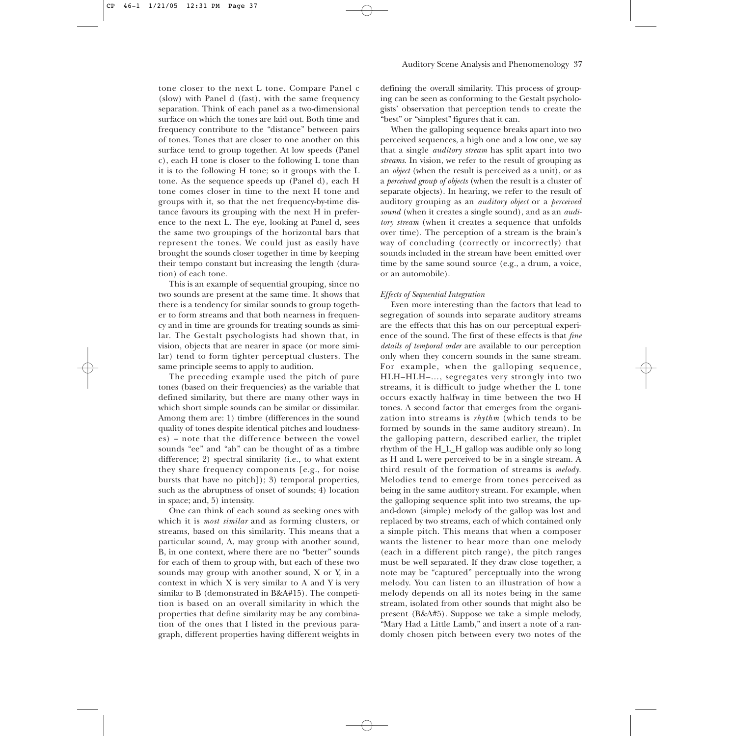tone closer to the next L tone. Compare Panel c (slow) with Panel d (fast), with the same frequency separation. Think of each panel as a two-dimensional surface on which the tones are laid out. Both time and frequency contribute to the "distance" between pairs of tones. Tones that are closer to one another on this surface tend to group together. At low speeds (Panel c), each H tone is closer to the following L tone than it is to the following H tone; so it groups with the L tone. As the sequence speeds up (Panel d), each H tone comes closer in time to the next H tone and groups with it, so that the net frequency-by-time distance favours its grouping with the next H in preference to the next L. The eye, looking at Panel d, sees the same two groupings of the horizontal bars that represent the tones. We could just as easily have brought the sounds closer together in time by keeping their tempo constant but increasing the length (duration) of each tone.

This is an example of sequential grouping, since no two sounds are present at the same time. It shows that there is a tendency for similar sounds to group together to form streams and that both nearness in frequency and in time are grounds for treating sounds as similar. The Gestalt psychologists had shown that, in vision, objects that are nearer in space (or more similar) tend to form tighter perceptual clusters. The same principle seems to apply to audition.

The preceding example used the pitch of pure tones (based on their frequencies) as the variable that defined similarity, but there are many other ways in which short simple sounds can be similar or dissimilar. Among them are: 1) timbre (differences in the sound quality of tones despite identical pitches and loudnesses) – note that the difference between the vowel sounds "ee" and "ah" can be thought of as a timbre difference; 2) spectral similarity (i.e., to what extent they share frequency components [e.g., for noise bursts that have no pitch]); 3) temporal properties, such as the abruptness of onset of sounds; 4) location in space; and, 5) intensity.

One can think of each sound as seeking ones with which it is *most similar* and as forming clusters, or streams, based on this similarity. This means that a particular sound, A, may group with another sound, B, in one context, where there are no "better" sounds for each of them to group with, but each of these two sounds may group with another sound, X or Y, in a context in which X is very similar to A and Y is very similar to B (demonstrated in B&A#15). The competition is based on an overall similarity in which the properties that define similarity may be any combination of the ones that I listed in the previous paragraph, different properties having different weights in defining the overall similarity. This process of grouping can be seen as conforming to the Gestalt psychologists' observation that perception tends to create the "best" or "simplest" figures that it can.

When the galloping sequence breaks apart into two perceived sequences, a high one and a low one, we say that a single *auditory stream* has split apart into two *streams*. In vision, we refer to the result of grouping as an *object* (when the result is perceived as a unit), or as a *perceived group of objects* (when the result is a cluster of separate objects). In hearing, we refer to the result of auditory grouping as an *auditory object* or a *perceived sound* (when it creates a single sound), and as an *auditory stream* (when it creates a sequence that unfolds over time). The perception of a stream is the brain's way of concluding (correctly or incorrectly) that sounds included in the stream have been emitted over time by the same sound source (e.g., a drum, a voice, or an automobile).

# *Effects of Sequential Integration*

Even more interesting than the factors that lead to segregation of sounds into separate auditory streams are the effects that this has on our perceptual experience of the sound. The first of these effects is that *fine details of temporal order* are available to our perception only when they concern sounds in the same stream. For example, when the galloping sequence, HLH–HLH–…, segregates very strongly into two streams, it is difficult to judge whether the L tone occurs exactly halfway in time between the two H tones. A second factor that emerges from the organization into streams is *rhythm* (which tends to be formed by sounds in the same auditory stream). In the galloping pattern, described earlier, the triplet rhythm of the H\_L\_H gallop was audible only so long as H and L were perceived to be in a single stream. A third result of the formation of streams is *melody*. Melodies tend to emerge from tones perceived as being in the same auditory stream. For example, when the galloping sequence split into two streams, the upand-down (simple) melody of the gallop was lost and replaced by two streams, each of which contained only a simple pitch. This means that when a composer wants the listener to hear more than one melody (each in a different pitch range), the pitch ranges must be well separated. If they draw close together, a note may be "captured" perceptually into the wrong melody. You can listen to an illustration of how a melody depends on all its notes being in the same stream, isolated from other sounds that might also be present (B&A#5). Suppose we take a simple melody, "Mary Had a Little Lamb," and insert a note of a randomly chosen pitch between every two notes of the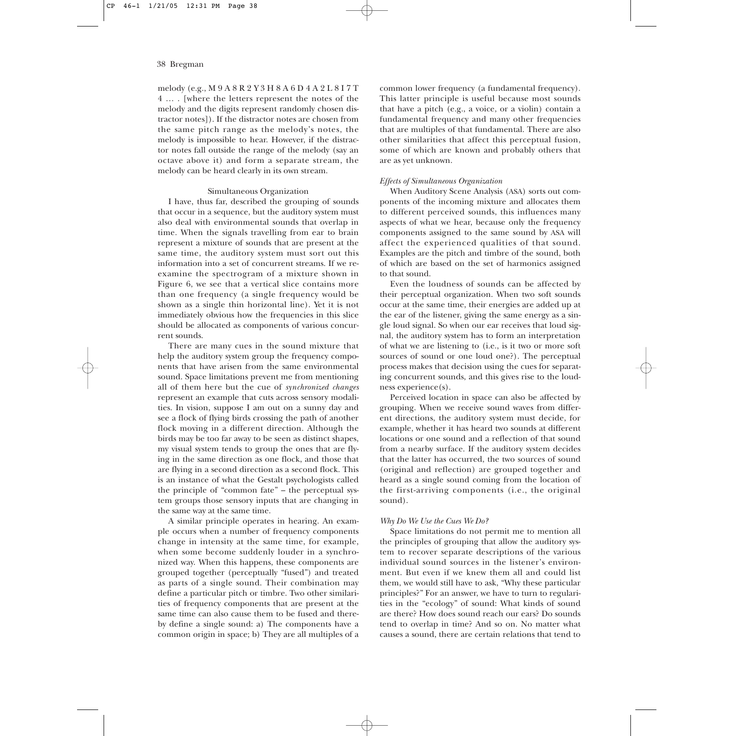melody (e.g., M 9 A 8 R 2 Y 3 H 8 A 6 D 4 A 2 L 8 I 7 T 4 … . [where the letters represent the notes of the melody and the digits represent randomly chosen distractor notes]). If the distractor notes are chosen from the same pitch range as the melody's notes, the melody is impossible to hear. However, if the distractor notes fall outside the range of the melody (say an octave above it) and form a separate stream, the melody can be heard clearly in its own stream.

## Simultaneous Organization

I have, thus far, described the grouping of sounds that occur in a sequence, but the auditory system must also deal with environmental sounds that overlap in time. When the signals travelling from ear to brain represent a mixture of sounds that are present at the same time, the auditory system must sort out this information into a set of concurrent streams. If we reexamine the spectrogram of a mixture shown in Figure 6, we see that a vertical slice contains more than one frequency (a single frequency would be shown as a single thin horizontal line). Yet it is not immediately obvious how the frequencies in this slice should be allocated as components of various concurrent sounds.

There are many cues in the sound mixture that help the auditory system group the frequency components that have arisen from the same environmental sound. Space limitations prevent me from mentioning all of them here but the cue of *synchronized changes* represent an example that cuts across sensory modalities. In vision, suppose I am out on a sunny day and see a flock of flying birds crossing the path of another flock moving in a different direction. Although the birds may be too far away to be seen as distinct shapes, my visual system tends to group the ones that are flying in the same direction as one flock, and those that are flying in a second direction as a second flock. This is an instance of what the Gestalt psychologists called the principle of "common fate" – the perceptual system groups those sensory inputs that are changing in the same way at the same time.

A similar principle operates in hearing. An example occurs when a number of frequency components change in intensity at the same time, for example, when some become suddenly louder in a synchronized way. When this happens, these components are grouped together (perceptually "fused") and treated as parts of a single sound. Their combination may define a particular pitch or timbre. Two other similarities of frequency components that are present at the same time can also cause them to be fused and thereby define a single sound: a) The components have a common origin in space; b) They are all multiples of a common lower frequency (a fundamental frequency). This latter principle is useful because most sounds that have a pitch (e.g., a voice, or a violin) contain a fundamental frequency and many other frequencies that are multiples of that fundamental. There are also other similarities that affect this perceptual fusion, some of which are known and probably others that are as yet unknown.

# *Effects of Simultaneous Organization*

When Auditory Scene Analysis (ASA) sorts out components of the incoming mixture and allocates them to different perceived sounds, this influences many aspects of what we hear, because only the frequency components assigned to the same sound by ASA will affect the experienced qualities of that sound. Examples are the pitch and timbre of the sound, both of which are based on the set of harmonics assigned to that sound.

Even the loudness of sounds can be affected by their perceptual organization. When two soft sounds occur at the same time, their energies are added up at the ear of the listener, giving the same energy as a single loud signal. So when our ear receives that loud signal, the auditory system has to form an interpretation of what we are listening to (i.e., is it two or more soft sources of sound or one loud one?). The perceptual process makes that decision using the cues for separating concurrent sounds, and this gives rise to the loudness experience(s).

Perceived location in space can also be affected by grouping. When we receive sound waves from different directions, the auditory system must decide, for example, whether it has heard two sounds at different locations or one sound and a reflection of that sound from a nearby surface. If the auditory system decides that the latter has occurred, the two sources of sound (original and reflection) are grouped together and heard as a single sound coming from the location of the first-arriving components (i.e., the original sound).

## *Why Do We Use the Cues We Do?*

Space limitations do not permit me to mention all the principles of grouping that allow the auditory system to recover separate descriptions of the various individual sound sources in the listener's environment. But even if we knew them all and could list them, we would still have to ask, "Why these particular principles?" For an answer, we have to turn to regularities in the "ecology" of sound: What kinds of sound are there? How does sound reach our ears? Do sounds tend to overlap in time? And so on. No matter what causes a sound, there are certain relations that tend to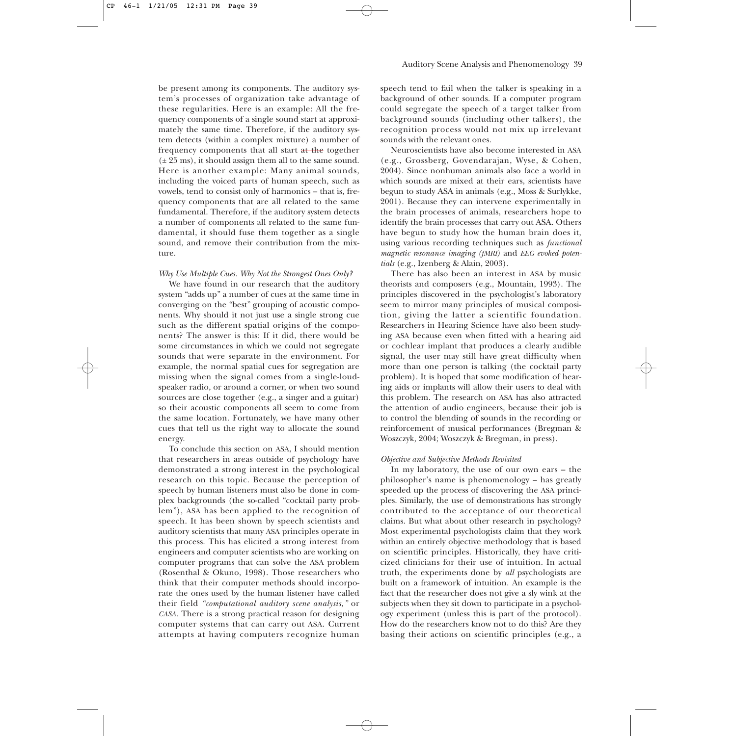be present among its components. The auditory system's processes of organization take advantage of these regularities. Here is an example: All the frequency components of a single sound start at approximately the same time. Therefore, if the auditory system detects (within a complex mixture) a number of frequency components that all start at the together  $(\pm 25 \text{ ms})$ , it should assign them all to the same sound. Here is another example: Many animal sounds, including the voiced parts of human speech, such as vowels, tend to consist only of harmonics – that is, frequency components that are all related to the same fundamental. Therefore, if the auditory system detects a number of components all related to the same fundamental, it should fuse them together as a single sound, and remove their contribution from the mixture.

## *Why Use Multiple Cues. Why Not the Strongest Ones Only?*

We have found in our research that the auditory system "adds up" a number of cues at the same time in converging on the "best" grouping of acoustic components. Why should it not just use a single strong cue such as the different spatial origins of the components? The answer is this: If it did, there would be some circumstances in which we could not segregate sounds that were separate in the environment. For example, the normal spatial cues for segregation are missing when the signal comes from a single-loudspeaker radio, or around a corner, or when two sound sources are close together (e.g., a singer and a guitar) so their acoustic components all seem to come from the same location. Fortunately, we have many other cues that tell us the right way to allocate the sound energy.

To conclude this section on ASA, I should mention that researchers in areas outside of psychology have demonstrated a strong interest in the psychological research on this topic. Because the perception of speech by human listeners must also be done in complex backgrounds (the so-called "cocktail party problem"), ASA has been applied to the recognition of speech. It has been shown by speech scientists and auditory scientists that many ASA principles operate in this process. This has elicited a strong interest from engineers and computer scientists who are working on computer programs that can solve the ASA problem (Rosenthal & Okuno, 1998). Those researchers who think that their computer methods should incorporate the ones used by the human listener have called their field *"computational auditory scene analysis,"* or *CASA.* There is a strong practical reason for designing computer systems that can carry out ASA. Current attempts at having computers recognize human

speech tend to fail when the talker is speaking in a background of other sounds. If a computer program could segregate the speech of a target talker from background sounds (including other talkers), the recognition process would not mix up irrelevant sounds with the relevant ones.

Neuroscientists have also become interested in ASA (e.g., Grossberg, Govendarajan, Wyse, & Cohen, 2004). Since nonhuman animals also face a world in which sounds are mixed at their ears, scientists have begun to study ASA in animals (e.g., Moss & Surlykke, 2001). Because they can intervene experimentally in the brain processes of animals, researchers hope to identify the brain processes that carry out ASA. Others have begun to study how the human brain does it, using various recording techniques such as *functional magnetic resonance imaging (fMRI)* and *EEG evoked potentials* (e.g., Izenberg & Alain, 2003).

There has also been an interest in ASA by music theorists and composers (e.g., Mountain, 1993). The principles discovered in the psychologist's laboratory seem to mirror many principles of musical composition, giving the latter a scientific foundation. Researchers in Hearing Science have also been studying ASA because even when fitted with a hearing aid or cochlear implant that produces a clearly audible signal, the user may still have great difficulty when more than one person is talking (the cocktail party problem). It is hoped that some modification of hearing aids or implants will allow their users to deal with this problem. The research on ASA has also attracted the attention of audio engineers, because their job is to control the blending of sounds in the recording or reinforcement of musical performances (Bregman & Woszczyk, 2004; Woszczyk & Bregman, in press).

## *Objective and Subjective Methods Revisited*

In my laboratory, the use of our own ears – the philosopher's name is phenomenology – has greatly speeded up the process of discovering the ASA principles. Similarly, the use of demonstrations has strongly contributed to the acceptance of our theoretical claims. But what about other research in psychology? Most experimental psychologists claim that they work within an entirely objective methodology that is based on scientific principles. Historically, they have criticized clinicians for their use of intuition. In actual truth, the experiments done by *all* psychologists are built on a framework of intuition. An example is the fact that the researcher does not give a sly wink at the subjects when they sit down to participate in a psychology experiment (unless this is part of the protocol). How do the researchers know not to do this? Are they basing their actions on scientific principles (e.g., a